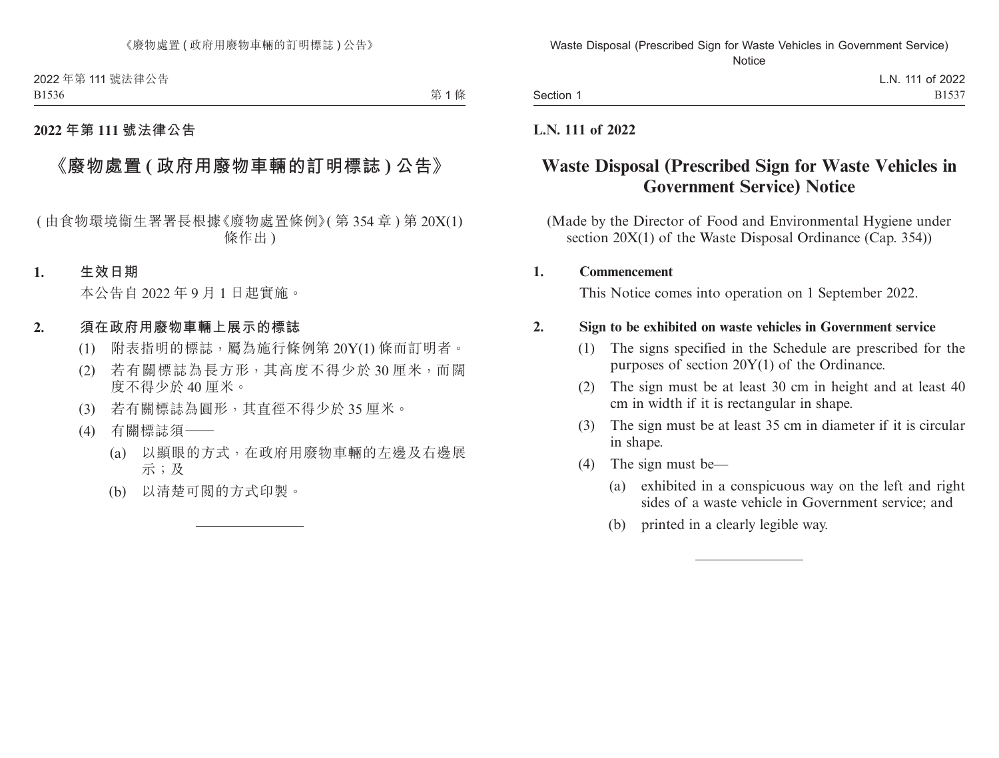2022 年第 111 號法律公告 B1536

第1條

## **2022 年第 111 號法律公告**

# **《廢物處置 ( 政府用廢物車輛的訂明標誌 ) 公告》**

( 由食物環境衞生署署長根據《廢物處置條例》( 第 354 章 ) 第 20X(1) 條作出 )

#### **1. 生效日期**

本公告自 2022 年 9 月 1 日起實施。

#### **2. 須在政府用廢物車輛上展示的標誌**

- (1) 附表指明的標誌,屬為施行條例第 20Y(1) 條而訂明者。
- (2) 若有關標誌為長方形,其高度不得少於 30 厘米,而闊 度不得少於 40 厘米。
- (3) 若有關標誌為圓形,其直徑不得少於 35 厘米。
- (4) 有關標誌須——
	- (a) 以顯眼的方式,在政府用廢物車輛的左邊及右邊展 示;及
	- (b) 以清楚可閱的方式印製。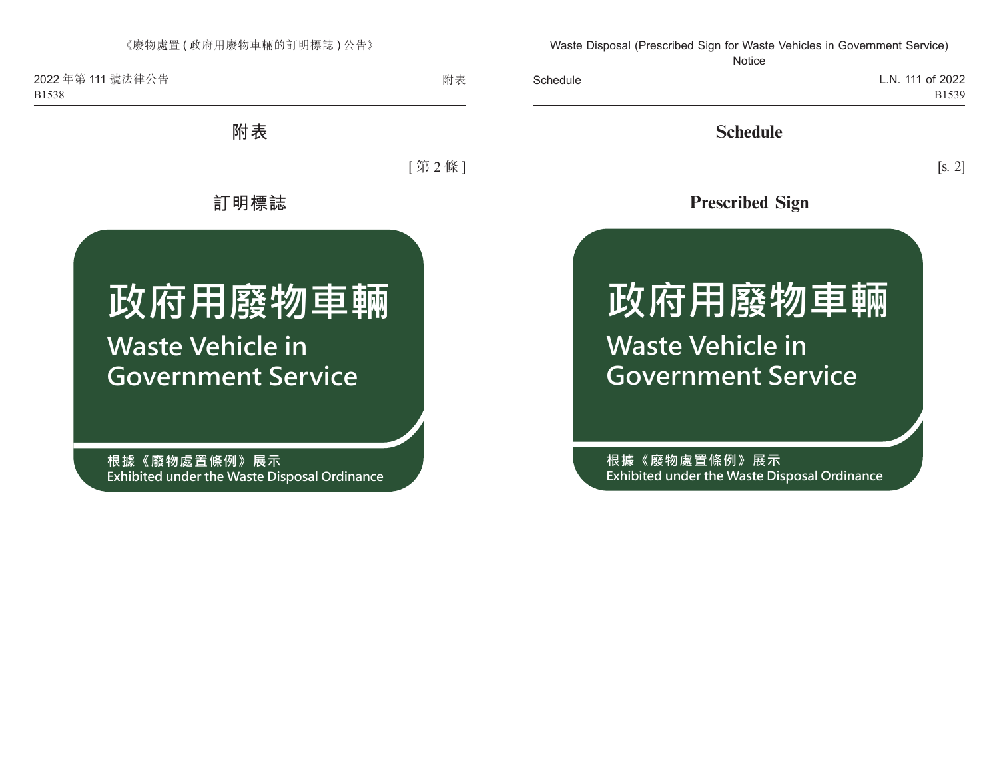2022 年第 111 號法律公告 B1538

附表

**附表**

[ 第 2 條 ]

**訂明標誌**

# **政府用廢物車輛 Waste Vehicle in Government Service**

**根據《廢物處置條例》展示 Exhibited under the Waste Disposal Ordinance**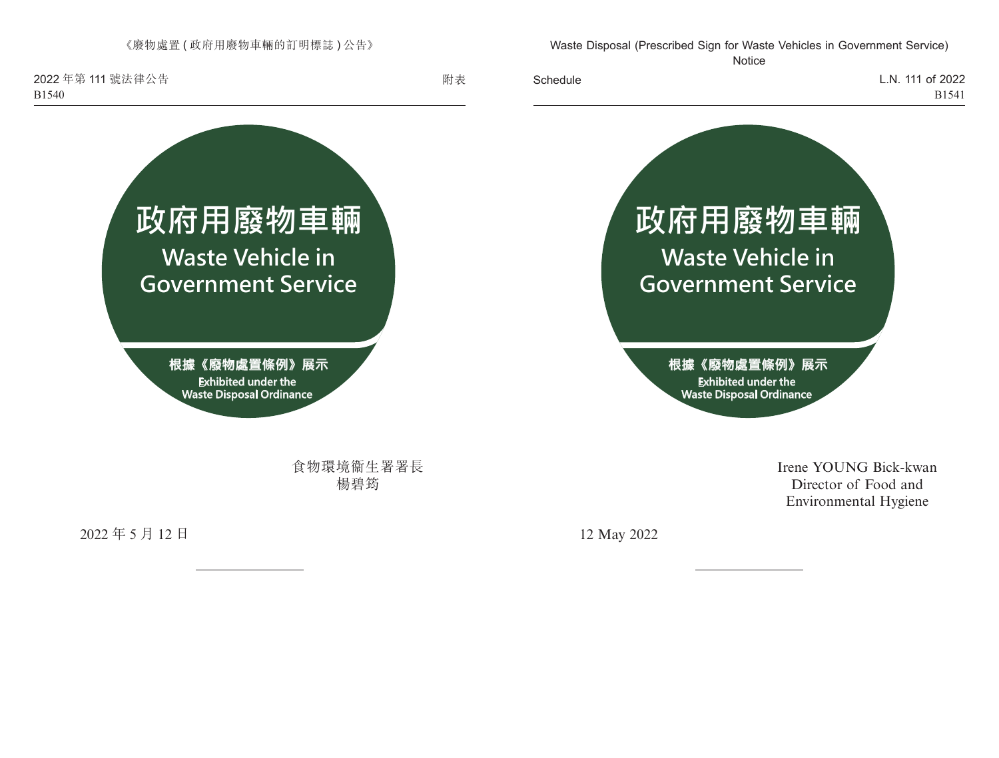《廢物處置 ( 政府用廢物車輛的訂明標誌 ) 公告》

2022 年第 111 號法律公告 B1540



食物環境衞生署署長 楊碧筠

2022 年 5 月 12 日